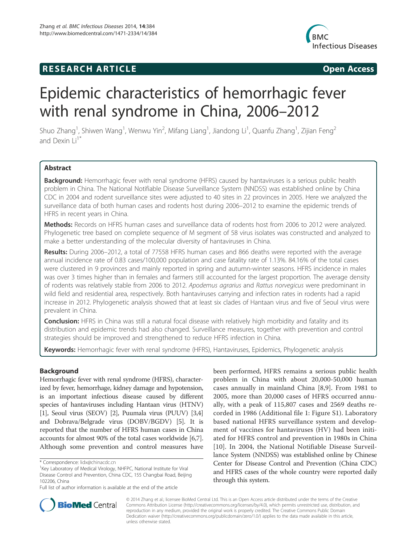## **RESEARCH ARTICLE Example 2014 CONSIDERING CONSIDERING CONSIDERING CONSIDERING CONSIDERING CONSIDERING CONSIDERING CONSIDERING CONSIDERING CONSIDERING CONSIDERING CONSIDERING CONSIDERING CONSIDERING CONSIDERING CONSIDE**



# Epidemic characteristics of hemorrhagic fever with renal syndrome in China, 2006–2012

Shuo Zhang<sup>1</sup>, Shiwen Wang<sup>1</sup>, Wenwu Yin<sup>2</sup>, Mifang Liang<sup>1</sup>, Jiandong Li<sup>1</sup>, Quanfu Zhang<sup>1</sup>, Zijian Feng<sup>2</sup> and Dexin  $Li<sup>1</sup>$ 

## Abstract

Background: Hemorrhagic fever with renal syndrome (HFRS) caused by hantaviruses is a serious public health problem in China. The National Notifiable Disease Surveillance System (NNDSS) was established online by China CDC in 2004 and rodent surveillance sites were adjusted to 40 sites in 22 provinces in 2005. Here we analyzed the surveillance data of both human cases and rodents host during 2006–2012 to examine the epidemic trends of HFRS in recent years in China.

Methods: Records on HFRS human cases and surveillance data of rodents host from 2006 to 2012 were analyzed. Phylogenetic tree based on complete sequence of M segment of 58 virus isolates was constructed and analyzed to make a better understanding of the molecular diversity of hantaviruses in China.

Results: During 2006-2012, a total of 77558 HFRS human cases and 866 deaths were reported with the average annual incidence rate of 0.83 cases/100,000 population and case fatality rate of 1.13%. 84.16% of the total cases were clustered in 9 provinces and mainly reported in spring and autumn-winter seasons. HFRS incidence in males was over 3 times higher than in females and farmers still accounted for the largest proportion. The average density of rodents was relatively stable from 2006 to 2012. Apodemus agrarius and Rattus norvegicus were predominant in wild field and residential area, respectively. Both hantaviruses carrying and infection rates in rodents had a rapid increase in 2012. Phylogenetic analysis showed that at least six clades of Hantaan virus and five of Seoul virus were prevalent in China.

**Conclusion:** HFRS in China was still a natural focal disease with relatively high morbidity and fatality and its distribution and epidemic trends had also changed. Surveillance measures, together with prevention and control strategies should be improved and strengthened to reduce HFRS infection in China.

Keywords: Hemorrhagic fever with renal syndrome (HFRS), Hantaviruses, Epidemics, Phylogenetic analysis

## Background

Hemorrhagic fever with renal syndrome (HFRS), characterized by fever, hemorrhage, kidney damage and hypotension, is an important infectious disease caused by different species of hantaviruses including Hantaan virus (HTNV) [1], Seoul virus (SEOV) [2], Puumala virus (PUUV) [3,4] and Dobrava/Belgrade virus (DOBV/BGDV) [5]. It is reported that the number of HFRS human cases in China accounts for almost 90% of the total cases worldwide [6,7]. Although some prevention and control measures have

been performed, HFRS remains a serious public health problem in China with about 20,000-50,000 human cases annually in mainland China [8,9]. From 1981 to 2005, more than 20,000 cases of HFRS occurred annually, with a peak of 115,807 cases and 2569 deaths recorded in 1986 (Additional file 1: Figure S1). Laboratory based national HFRS surveillance system and development of vaccines for hantaviruses (HV) had been initiated for HFRS control and prevention in 1980s in China [10]. In 2004, the National Notifiable Disease Surveillance System (NNDSS) was established online by Chinese Center for Disease Control and Prevention (China CDC) and HFRS cases of the whole country were reported daily through this system.



© 2014 Zhang et al.; licensee BioMed Central Ltd. This is an Open Access article distributed under the terms of the Creative Commons Attribution License (http://creativecommons.org/licenses/by/4.0), which permits unrestricted use, distribution, and reproduction in any medium, provided the original work is properly credited. The Creative Commons Public Domain Dedication waiver (http://creativecommons.org/publicdomain/zero/1.0/) applies to the data made available in this article, unless otherwise stated.

<sup>\*</sup> Correspondence: lidx@chinacdc.cn <sup>1</sup>

<sup>&</sup>lt;sup>1</sup>Key Laboratory of Medical Virology, NHFPC, National Institute for Viral Disease Control and Prevention, China CDC, 155 Changbai Road, Beijing 102206, China

Full list of author information is available at the end of the article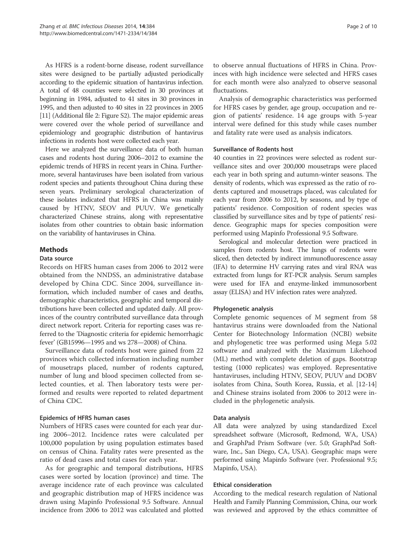As HFRS is a rodent-borne disease, rodent surveillance sites were designed to be partially adjusted periodically according to the epidemic situation of hantavirus infection. A total of 48 counties were selected in 30 provinces at beginning in 1984, adjusted to 41 sites in 30 provinces in 1995, and then adjusted to 40 sites in 22 provinces in 2005 [11] (Additional file 2: Figure S2). The major epidemic areas were covered over the whole period of surveillance and epidemiology and geographic distribution of hantavirus infections in rodents host were collected each year.

Here we analyzed the surveillance data of both human cases and rodents host during 2006–2012 to examine the epidemic trends of HFRS in recent years in China. Furthermore, several hantaviruses have been isolated from various rodent species and patients throughout China during these seven years. Preliminary serological characterization of these isolates indicated that HFRS in China was mainly caused by HTNV, SEOV and PUUV. We genetically characterized Chinese strains, along with representative isolates from other countries to obtain basic information on the variability of hantaviruses in China.

## Methods

#### Data source

Records on HFRS human cases from 2006 to 2012 were obtained from the NNDSS, an administrative database developed by China CDC. Since 2004, surveillance information, which included number of cases and deaths, demographic characteristics, geographic and temporal distributions have been collected and updated daily. All provinces of the country contributed surveillance data through direct network report. Criteria for reporting cases was referred to the 'Diagnostic criteria for epidemic hemorrhagic fever' (GB15996—1995 and ws 278—2008) of China.

Surveillance data of rodents host were gained from 22 provinces which collected information including number of mousetraps placed, number of rodents captured, number of lung and blood specimen collected from selected counties, et al. Then laboratory tests were performed and results were reported to related department of China CDC.

## Epidemics of HFRS human cases

Numbers of HFRS cases were counted for each year during 2006–2012. Incidence rates were calculated per 100,000 population by using population estimates based on census of China. Fatality rates were presented as the ratio of dead cases and total cases for each year.

As for geographic and temporal distributions, HFRS cases were sorted by location (province) and time. The average incidence rate of each province was calculated and geographic distribution map of HFRS incidence was drawn using Mapinfo Professional 9.5 Software. Annual incidence from 2006 to 2012 was calculated and plotted to observe annual fluctuations of HFRS in China. Provinces with high incidence were selected and HFRS cases for each month were also analyzed to observe seasonal fluctuations.

Analysis of demographic characteristics was performed for HFRS cases by gender, age group, occupation and region of patients' residence. 14 age groups with 5-year interval were defined for this study while cases number and fatality rate were used as analysis indicators.

#### Surveillance of Rodents host

40 counties in 22 provinces were selected as rodent surveillance sites and over 200,000 mousetraps were placed each year in both spring and autumn-winter seasons. The density of rodents, which was expressed as the ratio of rodents captured and mousetraps placed, was calculated for each year from 2006 to 2012, by seasons, and by type of patients' residence. Composition of rodent species was classified by surveillance sites and by type of patients' residence. Geographic maps for species composition were performed using Mapinfo Professional 9.5 Software.

Serological and molecular detection were practiced in samples from rodents host. The lungs of rodents were sliced, then detected by indirect immunofluorescence assay (IFA) to determine HV carrying rates and viral RNA was extracted from lungs for RT-PCR analysis. Serum samples were used for IFA and enzyme-linked immunosorbent assay (ELISA) and HV infection rates were analyzed.

## Phylogenetic analysis

Complete genomic sequences of M segment from 58 hantavirus strains were downloaded from the National Center for Biotechnology Information (NCBI) website and phylogenetic tree was performed using Mega 5.02 software and analyzed with the Maximum Likehood (ML) method with complete deletion of gaps. Bootstrap testing (1000 replicates) was employed. Representative hantaviruses, including HTNV, SEOV, PUUV and DOBV isolates from China, South Korea, Russia, et al. [12-14] and Chinese strains isolated from 2006 to 2012 were included in the phylogenetic analysis.

## Data analysis

All data were analyzed by using standardized Excel spreadsheet software (Microsoft, Redmond, WA, USA) and GraphPad Prism Software (ver. 5.0; GraphPad Software, Inc., San Diego, CA, USA). Geographic maps were performed using Mapinfo Software (ver. Professional 9.5; Mapinfo, USA).

## Ethical consideration

According to the medical research regulation of National Health and Family Planning Commission, China, our work was reviewed and approved by the ethics committee of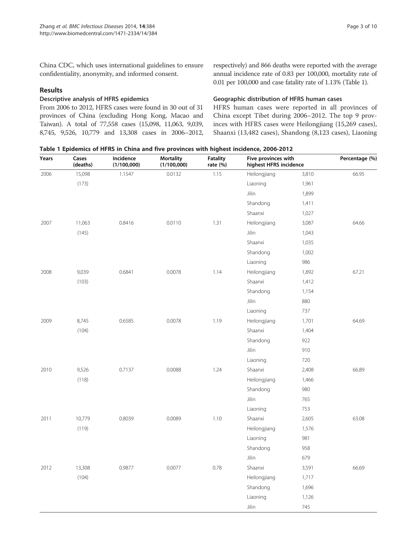China CDC, which uses international guidelines to ensure confidentiality, anonymity, and informed consent.

#### Results

#### Descriptive analysis of HFRS epidemics

From 2006 to 2012, HFRS cases were found in 30 out of 31 provinces of China (excluding Hong Kong, Macao and Taiwan). A total of 77,558 cases (15,098, 11,063, 9,039, 8,745, 9,526, 10,779 and 13,308 cases in 2006–2012, respectively) and 866 deaths were reported with the average annual incidence rate of 0.83 per 100,000, mortality rate of 0.01 per 100,000 and case fatality rate of 1.13% (Table 1).

#### Geographic distribution of HFRS human cases

HFRS human cases were reported in all provinces of China except Tibet during 2006–2012. The top 9 provinces with HFRS cases were Heilongjiang (15,269 cases), Shaanxi (13,482 cases), Shandong (8,123 cases), Liaoning

|  | Table 1 Epidemics of HFRS in China and five provinces with highest incidence, 2006-2012 |
|--|-----------------------------------------------------------------------------------------|
|--|-----------------------------------------------------------------------------------------|

| Years<br>2006                    | Cases<br>(deaths)<br>15,098 | Incidence<br>(1/100,000)<br>1.1547 | <b>Mortality</b><br>(1/100,000)<br>0.0132 | <b>Fatality</b><br>rate (%)<br>1.15 | Five provinces with<br>highest HFRS incidence |       | Percentage (%) |
|----------------------------------|-----------------------------|------------------------------------|-------------------------------------------|-------------------------------------|-----------------------------------------------|-------|----------------|
|                                  |                             |                                    |                                           |                                     | Heilongjiang                                  | 3,810 | 66.95          |
|                                  | (173)                       |                                    |                                           |                                     | Liaoning                                      | 1,961 |                |
|                                  |                             |                                    |                                           |                                     | Jilin                                         | 1,899 |                |
|                                  |                             |                                    |                                           |                                     | Shandong                                      | 1,411 |                |
|                                  |                             |                                    |                                           |                                     | Shaanxi                                       | 1,027 |                |
| 2007                             | 11,063                      | 0.8416                             | 0.0110                                    | 1.31                                | Heilongjiang                                  | 3,087 | 64.66          |
|                                  | (145)                       |                                    |                                           |                                     | Jilin                                         | 1,043 |                |
|                                  |                             |                                    |                                           |                                     | Shaanxi                                       | 1,035 |                |
|                                  |                             |                                    |                                           |                                     | Shandong                                      | 1,002 |                |
|                                  |                             |                                    |                                           |                                     | Liaoning                                      | 986   |                |
| 2008<br>9,039<br>0.6841<br>(103) |                             |                                    | 0.0078                                    | 1.14                                | Heilongjiang                                  | 1,892 | 67.21          |
|                                  |                             |                                    |                                           |                                     | Shaanxi                                       | 1,412 |                |
|                                  |                             |                                    |                                           |                                     | Shandong                                      | 1,154 |                |
|                                  |                             |                                    |                                           | Jilin                               | 880                                           |       |                |
|                                  |                             |                                    |                                           |                                     | Liaoning                                      | 737   |                |
| 2009                             | 8,745                       | 0.6585                             | 0.0078                                    | 1.19                                | Heilongjiang                                  | 1,701 | 64.69          |
|                                  | (104)                       |                                    |                                           |                                     | Shaanxi                                       | 1,404 |                |
|                                  |                             |                                    |                                           |                                     | Shandong                                      | 922   |                |
|                                  |                             |                                    |                                           |                                     | Jilin                                         | 910   |                |
|                                  |                             |                                    |                                           |                                     | Liaoning                                      | 720   |                |
| 2010                             | 9,526                       | 0.7137                             | 0.0088                                    | 1.24                                | Shaanxi                                       | 2,408 | 66.89          |
|                                  | (118)                       |                                    |                                           |                                     | Heilongjiang                                  | 1,466 |                |
|                                  |                             |                                    |                                           |                                     | Shandong                                      | 980   |                |
|                                  |                             |                                    |                                           |                                     | Jilin                                         | 765   |                |
|                                  |                             |                                    |                                           |                                     | Liaoning                                      | 753   |                |
| 2011                             | 10,779                      | 0.8039                             | 0.0089                                    | 1.10                                | Shaanxi                                       | 2,605 | 63.08          |
|                                  | (119)                       |                                    |                                           |                                     | Heilongjiang                                  | 1,576 |                |
|                                  |                             |                                    |                                           |                                     | Liaoning                                      | 981   |                |
|                                  |                             |                                    |                                           |                                     | Shandong                                      | 958   |                |
|                                  |                             |                                    |                                           |                                     | Jilin                                         | 679   |                |
| 2012                             | 13,308                      | 0.9877                             | 0.0077                                    | 0.78                                | Shaanxi                                       | 3,591 | 66.69          |
|                                  | (104)                       |                                    |                                           |                                     | Heilongjiang                                  | 1,717 |                |
|                                  |                             |                                    |                                           |                                     | Shandong                                      | 1,696 |                |
|                                  |                             |                                    |                                           |                                     | Liaoning                                      | 1,126 |                |
|                                  |                             |                                    |                                           |                                     | Jilin                                         | 745   |                |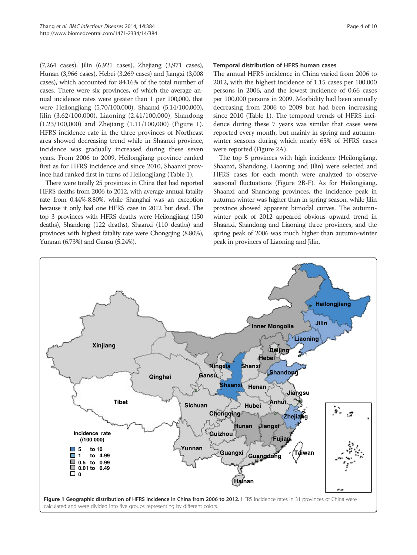(7,264 cases), Jilin (6,921 cases), Zhejiang (3,971 cases), Hunan (3,966 cases), Hebei (3,269 cases) and Jiangxi (3,008 cases), which accounted for 84.16% of the total number of cases. There were six provinces, of which the average annual incidence rates were greater than 1 per 100,000, that were Heilongjiang (5.70/100,000), Shaanxi (5.14/100,000), Jilin (3.62/100,000), Liaoning (2.41/100,000), Shandong (1.23/100,000) and Zhejiang (1.11/100,000) (Figure 1). HFRS incidence rate in the three provinces of Northeast area showed decreasing trend while in Shaanxi province, incidence was gradually increased during these seven years. From 2006 to 2009, Heilongjiang province ranked first as for HFRS incidence and since 2010, Shaanxi province had ranked first in turns of Heilongjiang (Table 1).

There were totally 25 provinces in China that had reported HFRS deaths from 2006 to 2012, with average annual fatality rate from 0.44%-8.80%, while Shanghai was an exception because it only had one HFRS case in 2012 but dead. The top 3 provinces with HFRS deaths were Heilongjiang (150 deaths), Shandong (122 deaths), Shaanxi (110 deaths) and provinces with highest fatality rate were Chongqing (8.80%), Yunnan (6.73%) and Gansu (5.24%).

#### Temporal distribution of HFRS human cases

The annual HFRS incidence in China varied from 2006 to 2012, with the highest incidence of 1.15 cases per 100,000 persons in 2006, and the lowest incidence of 0.66 cases per 100,000 persons in 2009. Morbidity had been annually decreasing from 2006 to 2009 but had been increasing since 2010 (Table 1). The temporal trends of HFRS incidence during these 7 years was similar that cases were reported every month, but mainly in spring and autumnwinter seasons during which nearly 65% of HFRS cases were reported (Figure 2A).

The top 5 provinces with high incidence (Heilongjiang, Shaanxi, Shandong, Liaoning and Jilin) were selected and HFRS cases for each month were analyzed to observe seasonal fluctuations (Figure 2B-F). As for Heilongjiang, Shaanxi and Shandong provinces, the incidence peak in autumn-winter was higher than in spring season, while Jilin province showed apparent bimodal curves. The autumnwinter peak of 2012 appeared obvious upward trend in Shaanxi, Shandong and Liaoning three provinces, and the spring peak of 2006 was much higher than autumn-winter peak in provinces of Liaoning and Jilin.

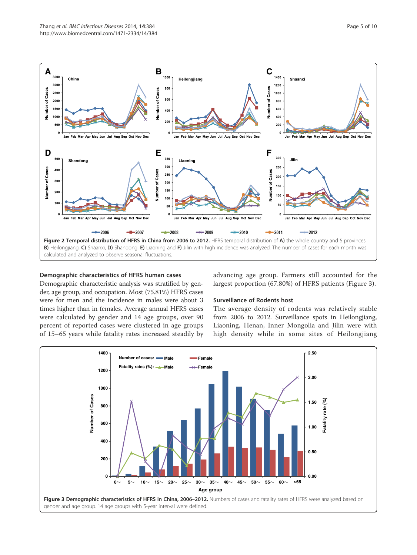

#### Demographic characteristics of HFRS human cases

Demographic characteristic analysis was stratified by gender, age group, and occupation. Most (75.81%) HFRS cases were for men and the incidence in males were about 3 times higher than in females. Average annual HFRS cases were calculated by gender and 14 age groups, over 90 percent of reported cases were clustered in age groups of 15–65 years while fatality rates increased steadily by

advancing age group. Farmers still accounted for the largest proportion (67.80%) of HFRS patients (Figure 3).

## Surveillance of Rodents host

The average density of rodents was relatively stable from 2006 to 2012. Surveillance spots in Heilongjiang, Liaoning, Henan, Inner Mongolia and Jilin were with high density while in some sites of Heilongjiang

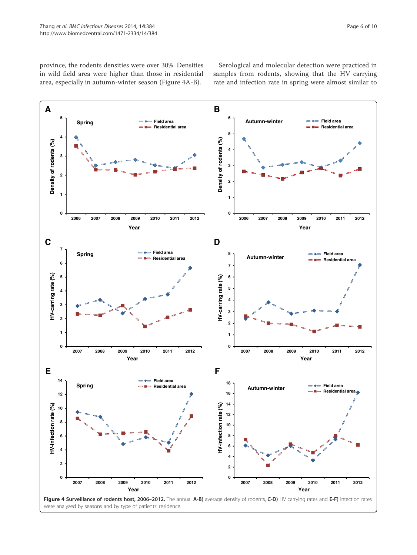province, the rodents densities were over 30%. Densities in wild field area were higher than those in residential area, especially in autumn-winter season (Figure 4A-B).

Serological and molecular detection were practiced in samples from rodents, showing that the HV carrying rate and infection rate in spring were almost similar to

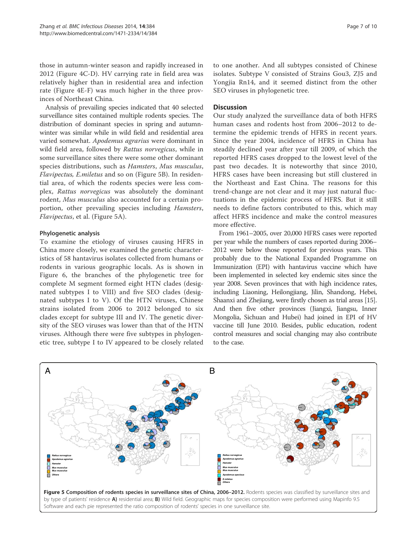those in autumn-winter season and rapidly increased in 2012 (Figure 4C-D). HV carrying rate in field area was relatively higher than in residential area and infection rate (Figure 4E-F) was much higher in the three provinces of Northeast China.

Analysis of prevailing species indicated that 40 selected surveillance sites contained multiple rodents species. The distribution of dominant species in spring and autumnwinter was similar while in wild field and residential area varied somewhat. Apodemus agrarius were dominant in wild field area, followed by Rattus norvegicus, while in some surveillance sites there were some other dominant species distributions, such as Hamsters, Mus musculus, Flavipectus, E.miletus and so on (Figure 5B). In residential area, of which the rodents species were less complex, Rattus norvegicus was absolutely the dominant rodent, Mus musculus also accounted for a certain proportion, other prevailing species including Hamsters, Flavipectus, et al. (Figure 5A).

## Phylogenetic analysis

To examine the etiology of viruses causing HFRS in China more closely, we examined the genetic characteristics of 58 hantavirus isolates collected from humans or rodents in various geographic locals. As is shown in Figure 6, the branches of the phylogenetic tree for complete M segment formed eight HTN clades (designated subtypes I to VIII) and five SEO clades (designated subtypes I to V). Of the HTN viruses, Chinese strains isolated from 2006 to 2012 belonged to six clades except for subtype III and IV. The genetic diversity of the SEO viruses was lower than that of the HTN viruses. Although there were five subtypes in phylogenetic tree, subtype I to IV appeared to be closely related

to one another. And all subtypes consisted of Chinese isolates. Subtype V consisted of Strains Gou3, ZJ5 and Yongjia Rn14, and it seemed distinct from the other SEO viruses in phylogenetic tree.

## **Discussion**

Our study analyzed the surveillance data of both HFRS human cases and rodents host from 2006–2012 to determine the epidemic trends of HFRS in recent years. Since the year 2004, incidence of HFRS in China has steadily declined year after year till 2009, of which the reported HFRS cases dropped to the lowest level of the past two decades. It is noteworthy that since 2010, HFRS cases have been increasing but still clustered in the Northeast and East China. The reasons for this trend-change are not clear and it may just natural fluctuations in the epidemic process of HFRS. But it still needs to define factors contributed to this, which may affect HFRS incidence and make the control measures more effective.

From 1961–2005, over 20,000 HFRS cases were reported per year while the numbers of cases reported during 2006– 2012 were below those reported for previous years. This probably due to the National Expanded Programme on Immunization (EPI) with hantavirus vaccine which have been implemented in selected key endemic sites since the year 2008. Seven provinces that with high incidence rates, including Liaoning, Heilongjiang, Jilin, Shandong, Hebei, Shaanxi and Zhejiang, were firstly chosen as trial areas [15]. And then five other provinces (Jiangxi, Jiangsu, Inner Mongolia, Sichuan and Hubei) had joined in EPI of HV vaccine till June 2010. Besides, public education, rodent control measures and social changing may also contribute to the case.

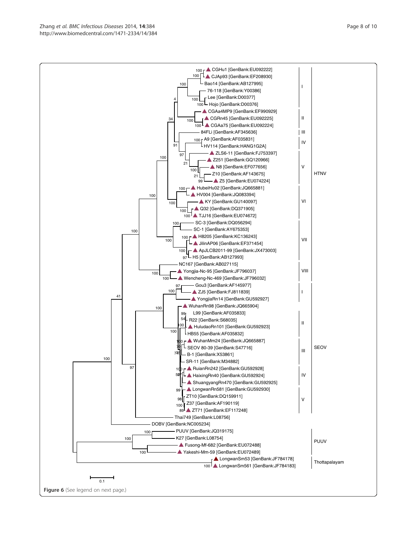Figure 6 (See legend on next page.)

 $0.1$ 

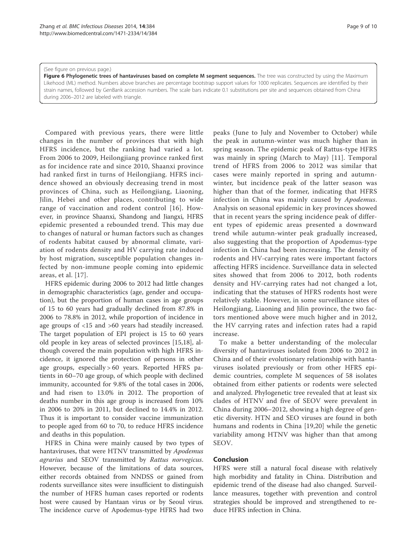#### (See figure on previous page.)

Figure 6 Phylogenetic trees of hantaviruses based on complete M segment sequences. The tree was constructed by using the Maximum Likehood (ML) method. Numbers above branches are percentage bootstrap support values for 1000 replicates. Sequences are identified by their strain names, followed by GenBank accession numbers. The scale bars indicate 0.1 substitutions per site and sequences obtained from China during 2006–2012 are labeled with triangle.

Compared with previous years, there were little changes in the number of provinces that with high HFRS incidence, but the ranking had varied a lot. From 2006 to 2009, Heilongjiang province ranked first as for incidence rate and since 2010, Shaanxi province had ranked first in turns of Heilongjiang. HFRS incidence showed an obviously decreasing trend in most provinces of China, such as Heilongjiang, Liaoning, Jilin, Hebei and other places, contributing to wide range of vaccination and rodent control [16]. However, in province Shaanxi, Shandong and Jiangxi, HFRS epidemic presented a rebounded trend. This may due to changes of natural or human factors such as changes of rodents habitat caused by abnormal climate, variation of rodents density and HV carrying rate induced by host migration, susceptible population changes infected by non-immune people coming into epidemic areas, et al. [17].

HFRS epidemic during 2006 to 2012 had little changes in demographic characteristics (age, gender and occupation), but the proportion of human cases in age groups of 15 to 60 years had gradually declined from 87.8% in 2006 to 78.8% in 2012, while proportion of incidence in age groups of <15 and >60 years had steadily increased. The target population of EPI project is 15 to 60 years old people in key areas of selected provinces [15,18], although covered the main population with high HFRS incidence, it ignored the protection of persons in other age groups, especially > 60 years. Reported HFRS patients in 60–70 age group, of which people with declined immunity, accounted for 9.8% of the total cases in 2006, and had risen to 13.0% in 2012. The proportion of deaths number in this age group is increased from 10% in 2006 to 20% in 2011, but declined to 14.4% in 2012. Thus it is important to consider vaccine immunization to people aged from 60 to 70, to reduce HFRS incidence and deaths in this population.

HFRS in China were mainly caused by two types of hantaviruses, that were HTNV transmitted by Apodemus agrarius and SEOV transmitted by Rattus norvegicus. However, because of the limitations of data sources, either records obtained from NNDSS or gained from rodents surveillance sites were insufficient to distinguish the number of HFRS human cases reported or rodents host were caused by Hantaan virus or by Seoul virus. The incidence curve of Apodemus-type HFRS had two

peaks (June to July and November to October) while the peak in autumn-winter was much higher than in spring season. The epidemic peak of Rattus-type HFRS was mainly in spring (March to May) [11]. Temporal trend of HFRS from 2006 to 2012 was similar that cases were mainly reported in spring and autumnwinter, but incidence peak of the latter season was higher than that of the former, indicating that HFRS infection in China was mainly caused by Apodemus. Analysis on seasonal epidemic in key provinces showed that in recent years the spring incidence peak of different types of epidemic areas presented a downward trend while autumn-winter peak gradually increased, also suggesting that the proportion of Apodemus-type infection in China had been increasing. The density of rodents and HV-carrying rates were important factors affecting HFRS incidence. Surveillance data in selected sites showed that from 2006 to 2012, both rodents density and HV-carrying rates had not changed a lot, indicating that the statuses of HFRS rodents host were relatively stable. However, in some surveillance sites of Heilongjiang, Liaoning and Jilin province, the two factors mentioned above were much higher and in 2012, the HV carrying rates and infection rates had a rapid increase.

To make a better understanding of the molecular diversity of hantaviruses isolated from 2006 to 2012 in China and of their evolutionary relationship with hantaviruses isolated previously or from other HFRS epidemic countries, complete M sequences of 58 isolates obtained from either patients or rodents were selected and analyzed. Phylogenetic tree revealed that at least six clades of HTNV and five of SEOV were prevalent in China during 2006–2012, showing a high degree of genetic diversity. HTN and SEO viruses are found in both humans and rodents in China [19,20] while the genetic variability among HTNV was higher than that among SEOV.

#### Conclusion

HFRS were still a natural focal disease with relatively high morbidity and fatality in China. Distribution and epidemic trend of the disease had also changed. Surveillance measures, together with prevention and control strategies should be improved and strengthened to reduce HFRS infection in China.